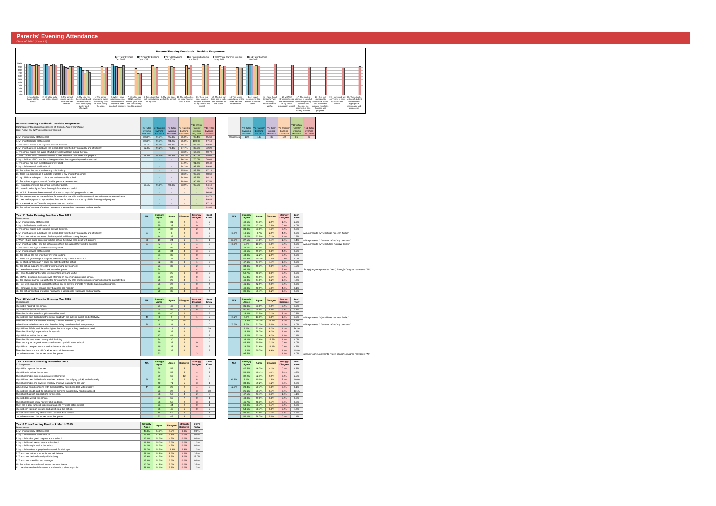## **Parents' Evening Attendance** Class of 2022 (Year 11)

11. I receive valuable information from the school about my child



| Data represents compiled responses or strongly Agree and Agree.<br>'Don't Know' and 'N/A' responses not counted.   | <b>Y7 Tutor</b>     | <b>Y7 Parents'</b>         | Y8 Tutor                 | Y9 Parents'                | Parents'                   | Y11 Tutor                  |  |
|--------------------------------------------------------------------------------------------------------------------|---------------------|----------------------------|--------------------------|----------------------------|----------------------------|----------------------------|--|
|                                                                                                                    | Evening<br>Oct 2017 | Evening<br><b>Jun 2018</b> | Evening<br>Mar 2019      | Evening<br><b>Nov 2019</b> | Evening<br><b>May 2021</b> | Evening<br><b>Nov 2021</b> |  |
|                                                                                                                    |                     |                            |                          |                            |                            |                            |  |
| 1. My child is happy at this school.                                                                               | 100.0%              | 99.3%                      | 95.3%                    | 95.0%                      | 98.4%                      | 95.6%                      |  |
| 2. My child feels safe at this school.                                                                             | 100.0%              | 99.3%                      | 94.2%                    | 95.0%                      | 100.0%                     | 97.1%                      |  |
| 3. The school makes sure its pupils are well behaved.                                                              | 98.1%               | 94.2%                      | 90.2%                    | 86.4%                      | 93.2%                      | 92.3%                      |  |
| 4. My child has been bullied and the school dealt with the bullying quickly and effectively.                       | 92.8%               | 90.2%                      | 79.4%                    | 67.7%                      | 80.0%                      | 72.2%                      |  |
| 5. The school makes me aware of what my child will learn during the year.                                          |                     |                            |                          | 93.3%                      | 67.2%                      | 90.7%                      |  |
| 6. When I have raised concerns with the school they have been dealt with properly.                                 | 98.8%               | 94.6%                      | 92.8%                    | 89.1%                      | 90.0%                      | 95.6%                      |  |
| 7. My child has SEND, and the school gives them the support they need to succeed                                   |                     |                            |                          | 86.2%                      | 70.0%                      | 70.6%                      |  |
| 8. The school has high expectations for my child.                                                                  |                     |                            | $\overline{\phantom{a}}$ | 94.9%                      | 91.7%                      | 89.4%                      |  |
|                                                                                                                    |                     |                            |                          |                            |                            |                            |  |
| 9. My child does well at this school.                                                                              |                     |                            | $\overline{\phantom{a}}$ | 94.2%                      | 92.1%                      | 89.9%                      |  |
| 10. The school lets me know how my child is doing.                                                                 |                     |                            |                          | 95.8%                      | 85.7%                      | 97.1%                      |  |
| 11. There is a good range of subjects available to my child at this school.                                        |                     |                            |                          | 98.3%                      | 96.9%                      | 98.6%                      |  |
| 12. My child can take part in clubs and activities at this school.                                                 |                     |                            | $\overline{\phantom{a}}$ | 94.9%                      | 85.2%                      | 94.1%                      |  |
| 13. The school supports my child's wider personal development.                                                     |                     |                            |                          | 88.9%                      | 90.4%                      | 87.5%                      |  |
| 14. I would recommend this school to another parent.                                                               | 99.1%               | 98.6%                      | 98.8%                    | 93.9%                      | 95.5%                      | 94.1%                      |  |
| 15. I have found tonight's Tutor Evening informative and useful.                                                   |                     |                            |                          |                            |                            | 100.0%                     |  |
| 16. MCAS / Bromcom keeps me well informed on my child's progress in school.                                        |                     |                            |                          |                            |                            | 96.9%                      |  |
|                                                                                                                    |                     |                            |                          |                            |                            |                            |  |
| 17. The student planner is a useful tool for organising my child and keeping me informed on day-to-day activities. |                     |                            | $\overline{\phantom{a}}$ | $\overline{\phantom{0}}$   | ٠                          | 91.7%                      |  |
| 18. I feel well equipped to support the school and its drive to promote my child's learning and progress.          |                     |                            |                          |                            |                            | 89.8%                      |  |
| 19. Homework set on Teams is easy to access and monitor.                                                           |                     |                            |                          |                            |                            | 87.1%                      |  |
| 20. The school's setting of student homework is appropriate, reasonable and purposeful.                            |                     |                            |                          |                            |                            | 91.8%                      |  |
|                                                                                                                    |                     |                            |                          |                            |                            |                            |  |
| Year 11 Tutor Evening Feedback Nov 2021                                                                            |                     | <b>Strongly</b>            |                          |                            | <b>Strongly</b>            | Don't                      |  |
| 70 responses                                                                                                       | N/A                 | <b>Agree</b>               | <b>Agree</b>             | <b>Disagree</b>            | <b>Disagree</b>            | Know                       |  |
| 1. My child is happy at this school.                                                                               |                     | 34                         | 31                       | $\overline{2}$             | $\mathbf 1$                | $\overline{2}$             |  |
| 2. My child feels safe at this school.                                                                             |                     | 35                         | 33                       | $\overline{2}$             | $\mathbf 0$                | $\mathbf 0$                |  |
|                                                                                                                    |                     |                            |                          |                            |                            |                            |  |
| 3. The school makes sure its pupils are well behaved.                                                              |                     | 23                         | 37                       | 3                          | $\overline{2}$             | $\overline{4}$             |  |
| 4. My child has been bullied and the school dealt with the bullying quickly and effectively.                       | 51                  | $\overline{7}$             | 6                        | $\overline{2}$             | 3                          | $\mathbf 0$                |  |
| 5. The school makes me aware of what my child will learn during the year.                                          |                     | 14                         | 35                       | $\overline{4}$             | $\mathbf 1$                | $\overline{2}$             |  |
| 6. When I have raised concerns with the school they have been dealt with properly.                                 | 23                  | 19                         | 24                       | $\overline{1}$             | $\mathbf 1$                | $\mathbf{1}$               |  |
| 7. My child has SEND, and the school gives them the support they need to succeed                                   | 51                  | 5                          | $\overline{7}$           | $\overline{1}$             | $\overline{4}$             | $\mathbf 0$                |  |
| 8. The school has high expectations for my child.                                                                  |                     | 29                         | 30                       | $\overline{7}$             | $\mathbf 0$                | $\overline{2}$             |  |
| 9. My child does well at this school.                                                                              |                     | 28                         | 34                       | $\overline{4}$             | 3                          | $\mathbf 0$                |  |
|                                                                                                                    |                     |                            |                          |                            |                            |                            |  |
| 10. The school lets me know how my child is doing.                                                                 |                     | 31                         | 36                       | $\overline{2}$             | $\mathbf 0$                | $\mathbf 0$                |  |
| 11. There is a good range of subjects available to my child at this school.                                        |                     | 33                         | 35                       | $\mathbf{1}$               | $\mathbf 0$                | $\mathbf 0$                |  |
| 12. My child can take part in clubs and activities at this school.                                                 |                     | 32                         | 32                       | 3                          | $\mathbf 1$                | $\mathbf 0$                |  |
| 13. The school supports my child's wider personal development.                                                     |                     | 23                         | 33                       | 6                          | $\overline{2}$             | 3                          |  |
| 14. I would recommend this school to another parent.                                                               |                     | 64                         |                          |                            | 4                          |                            |  |
| 15. I have found tonight's Tutor Evening informative and useful.                                                   |                     | 37                         | 25                       | $\overline{0}$             | $\mathbf{0}$               | $\mathbf 0$                |  |
| 16. MCAS / Bromcom keeps me well informed on my child's progress in school.                                        |                     | 36                         | 27                       | $\overline{2}$             | $\mathbf 0$                | $\mathbf 0$                |  |
| 17. The student planner is a useful tool for organising my child and keeping me informed on day-to-day activities. |                     | 26                         | 29                       | $\overline{4}$             | $\mathbf 1$                | $5\phantom{.0}$            |  |
|                                                                                                                    |                     |                            |                          |                            |                            |                            |  |
| 18. I feel well equipped to support the school and its drive to promote my child's learning and progress.          |                     | 26                         | 27                       | $6^{\circ}$                | $\mathbf 0$                | $\overline{4}$             |  |
| 19. Homework set on Teams is easy to access and monitor.                                                           |                     | 27                         | 27                       | 5 <sup>5</sup>             | 3                          | $\overline{4}$             |  |
| 20. The school's setting of student homework is appropriate, reasonable and purposeful.                            |                     | 20                         | 36                       | $\overline{4}$             | 1                          | $\overline{4}$             |  |
|                                                                                                                    |                     |                            |                          |                            |                            |                            |  |
|                                                                                                                    |                     |                            |                          |                            |                            |                            |  |
| Year 10 Virtual Parents' Evening May 2021                                                                          |                     | <b>Strongly</b>            |                          |                            | <b>Strongly</b>            | Don't                      |  |
| 66 responses                                                                                                       | N/A                 | <b>Agree</b>               | <b>Agree</b>             | <b>Disagree</b>            | <b>Disagree</b>            | Know                       |  |
| My child is happy at this school.                                                                                  |                     | 21                         | 42                       | $\blacktriangleleft$       | $\mathbf 0$                | $\overline{2}$             |  |
| My child feels safe at this school.                                                                                |                     | 23                         | 39                       | $\overline{0}$             | $\mathbf 0$                | $\overline{2}$             |  |
|                                                                                                                    |                     |                            |                          |                            |                            |                            |  |
| The school makes sure its pupils are well behaved.                                                                 |                     | 15                         | 40                       | $\overline{2}$             | $\overline{2}$             | 5                          |  |
| My child has been bullied and the school dealt with the bullying quickly and effectively.                          | 49                  | 3                          | 9                        | $\overline{2}$             | $\mathbf 1$                | $\overline{2}$             |  |
| The school makes me aware of what my child will learn during the year.                                             |                     | 12                         | 29                       | 18                         | $\overline{2}$             | $\sqrt{3}$                 |  |
| When I have raised concerns with the school they have been dealt with properly.                                    | 20                  | 5                          | 31                       | 3                          | $\mathbf 1$                | $\mathbf 0$                |  |
| My child has SEND, and the school gives them the support they need to succeed.                                     |                     | 3                          | 11                       | $\overline{4}$             | $\overline{2}$             | 29                         |  |
| The school has high expectations for my child.                                                                     |                     | 18                         | 37                       | $\overline{4}$             | 1                          | 3                          |  |
| My child does well at this school.                                                                                 |                     | 17                         | 41                       | $\overline{4}$             | $\mathbf 1$                | $\overline{2}$             |  |
| The school lets me know how my child is doing.                                                                     |                     | 24                         | 30                       | 8                          | $\mathbf 1$                | $\mathbf 0$                |  |
| There are a good range of subjects available to my child at this school.                                           |                     | 30                         | 32                       | $\overline{2}$             | $\mathbf 0$                | $\mathbf 0$                |  |
|                                                                                                                    |                     | 19                         | 33                       | 9 <sup>°</sup>             | $\mathbf 0$                | 3                          |  |
| My child can take part in clubs and activities at this school.                                                     |                     |                            |                          |                            | $\mathbf{1}$               |                            |  |
| The school supports my child's wider personal development.                                                         |                     | 10                         | 37                       | $\overline{4}$             |                            | $\boldsymbol{9}$           |  |
| would recommend this school to another parent.                                                                     |                     | 63                         |                          |                            | 3                          |                            |  |
|                                                                                                                    |                     |                            |                          |                            |                            |                            |  |
| Year 9 Parents' Evening November 2019                                                                              | N/A                 | <b>Strongly</b>            | <b>Agree</b>             | <b>Disagree</b>            | <b>Strongly</b>            | Don't                      |  |
| 122 responses                                                                                                      |                     | <b>Agree</b>               |                          |                            | <b>Disagree</b>            | Know                       |  |
| My child is happy at this school.                                                                                  |                     | 58                         | 57                       | 5 <sup>5</sup>             | 1                          | $\mathbf{1}$               |  |
| My child feels safe at this school.                                                                                |                     | 61                         | 53                       | 5 <sup>5</sup>             | $\mathbf 1$                | $\overline{2}$             |  |
| The school makes sure its pupils are well behaved.                                                                 |                     | 39                         | 63                       | 12                         | $\overline{4}$             | 3                          |  |
| My child has been bullied and the school dealt with the bullying quickly and effectively.                          | 68                  | 10                         | 11                       | $\overline{2}$             | 8                          | 11                         |  |
| The school makes me aware of what my child will learn during the year.                                             |                     | 40                         | 71                       | 5 <sup>5</sup>             | 3                          | $\mathbf{1}$               |  |
| When I have raised concerns with the school they have been dealt with properly.                                    | 47                  | 26                         | 23                       | $\overline{2}$             | $\overline{4}$             | 9                          |  |
| My child has SEND, and the school gives them the support they need to succeed.                                     |                     | 23                         | 27                       | 5 <sup>5</sup>             | 3                          | 30                         |  |
|                                                                                                                    |                     | 58                         |                          | $\overline{4}$             |                            |                            |  |
| The school has high expectations for my child.                                                                     |                     |                            | 53                       |                            | $\overline{2}$             | $5\phantom{.0}$            |  |
| My child does well at this school.                                                                                 |                     | 53                         | 60                       | $\overline{7}$             | $\mathbf 0$                | $\mathbf{1}$               |  |
| The school lets me know how my child is doing.                                                                     |                     | 56                         | 58                       | $\overline{2}$             | 3                          | $\mathbf{1}$               |  |
| There are a good range of subjects available to my child at this school.                                           |                     | 73                         | 44                       | $\overline{2}$             | $\mathbf 0$                | $\mathbf{1}$               |  |
| My child can take part in clubs and activities at this school.                                                     |                     | 65                         | 46                       | 6                          | $\mathbf{0}$               | $\overline{2}$             |  |
| The school supports my child's wider personal development.                                                         |                     | 46                         | 58                       | 9 <sup>°</sup>             | $\overline{4}$             | $\overline{4}$             |  |
| would recommend this school to another parent.                                                                     |                     | 62                         | 46                       | $6\phantom{.}$             | 1                          | $\overline{4}$             |  |
|                                                                                                                    |                     |                            |                          |                            |                            |                            |  |
|                                                                                                                    | <b>Strongly</b>     |                            |                          | <b>Strongly</b>            | Don't                      |                            |  |
| Year 8 Tutor Evening Feedback March 2019<br>86 responses                                                           | <b>Agree</b>        | <b>Agree</b>               | <b>Disagree</b>          | <b>Disagree</b>            | <b>Know</b>                |                            |  |
| 1. My child is happy at this school                                                                                | 45.3%               | 50.0%                      | 4.7%                     | 0.0%                       | 0.0%                       |                            |  |
|                                                                                                                    |                     |                            |                          |                            |                            |                            |  |
| 2. My child feels safe at this school                                                                              | 45.3%               | 48.8%                      | 5.8%                     | 0.0%                       | 0.0%                       |                            |  |
| 3. My child makes good progress at this school                                                                     | 43.0%               | 52.3%                      | 4.7%                     | 0.0%                       | 0.0%                       |                            |  |
| 4. My child is well looked after at this school                                                                    | 46.5%               | 50.0%                      | 2.3%                     | 0.0%                       | 1.2%                       |                            |  |
| 5. My child is taught well at this school                                                                          | 44.2%               | 51.2%                      | 4.7%                     | 0.0%                       | 0.0%                       |                            |  |
| 6. My child receives appropriate homework for their age                                                            | 26.7%               | 53.5%                      | 16.3%                    | 2.3%                       | 1.2%                       |                            |  |
| 7. The school makes sure pupils are well behaved                                                                   | 28.2%               | 58.8%                      | 8.2%                     | 1.2%                       | 3.5%                       |                            |  |
| 8. The school deals effectively with bullying                                                                      | 17.9%               | 41.7%                      | 9.5%                     | 6.0%                       | 25.0%                      |                            |  |
| 9. The school is well led and managed                                                                              | 45.3%               | 52.3%                      | 2.3%                     | 0.0%                       | 0.0%                       |                            |  |

38.8% 54.1% 5.9% 0.0% 1.2%

|           |          |                 |          |             | Y <sub>10</sub> Virtual |                       |
|-----------|----------|-----------------|----------|-------------|-------------------------|-----------------------|
|           | Y7 Tutor | IY7 Parents'l   | Y8 Tutor | Y9 Parents' | Parents'                | Y <sub>11</sub> Tutor |
|           | Evening  | Evening         | Evening  | Evening     | Evening                 | Evening               |
|           | Oct 2017 | <b>Jun 2018</b> | Mar 2019 | Nov 2019    | May 2021                | Nov 2021              |
| Responses | 109      | 139             | 86       | 122         | 66                      | 70                    |

| N/A   | <b>Strongly</b><br><b>Agree</b> | <b>Agree</b> | <b>Disagree</b> | <b>Strongly</b><br><b>Disagree</b> | Don't<br>Know |                                                                    |
|-------|---------------------------------|--------------|-----------------|------------------------------------|---------------|--------------------------------------------------------------------|
|       | 48.6%                           | 44.3%        | 2.9%            | 1.4%                               | 2.9%          |                                                                    |
|       | 50.0%                           | 47.1%        | 2.9%            | 0.0%                               | 0.0%          |                                                                    |
|       | 33.3%                           | 53.6%        | 4.3%            | 2.9%                               | 5.8%          |                                                                    |
| 73.9% | 10.1%                           | 8.7%         | 2.9%            | 4.3%                               | 0.0%          | N/A represents "My child has not been bullied"                     |
|       | 25.0%                           | 62.5%        | 7.1%            | 1.8%                               | 3.6%          |                                                                    |
| 33.3% | 27.5%                           | 34.8%        | 1.4%            | 1.4%                               | 1.4%          | N/A represents "I have not raised any concerns"                    |
| 75.0% | 7.4%                            | 10.3%        | 1.5%            | 5.9%                               | 0.0%          | N/A represents "My child does not have SEND"                       |
|       | 42.6%                           | 44.1%        | 10.3%           | 0.0%                               | 2.9%          |                                                                    |
|       | 40.6%                           | 49.3%        | 5.8%            | 4.3%                               | 0.0%          |                                                                    |
|       | 44.9%                           | 52.2%        | 2.9%            | 0.0%                               | 0.0%          |                                                                    |
|       | 47.8%                           | 50.7%        | 1.4%            | 0.0%                               | 0.0%          |                                                                    |
|       | 47.1%                           | 47.1%        | 4.4%            | 1.5%                               | 0.0%          |                                                                    |
|       | 34.3%                           | 49.3%        | 9.0%            | 3.0%                               | 4.5%          |                                                                    |
|       | 94.1%                           |              |                 | 5.9%                               |               | Strongly Agree represents "Yes", Strongly Disagree represents "No" |
|       | 59.7%                           | 40.3%        | 0.0%            | 0.0%                               | 0.0%          |                                                                    |
|       | 55.4%                           | 41.5%        | 3.1%            | 0.0%                               | 0.0%          |                                                                    |
|       | 40.0%                           | 44.6%        | 6.2%            | 1.5%                               | 7.7%          |                                                                    |
|       | 41.3%                           | 42.9%        | 9.5%            | 0.0%                               | 6.3%          |                                                                    |
|       | 40.9%                           | 40.9%        | 7.6%            | 4.5%                               | 6.1%          |                                                                    |
|       | 30.8%                           | 55.4%        | 6.2%            | 1.5%                               | 6.2%          |                                                                    |
|       |                                 |              |                 |                                    |               |                                                                    |
| N/A   | <b>Strongly</b><br>Agree        | <b>Agree</b> | <b>Disagree</b> | <b>Strongly</b><br><b>Disagree</b> | Don't<br>Know |                                                                    |
|       | 31.8%                           | 63.6%        | 1.5%            | 0.0%                               | 3.0%          |                                                                    |
|       | 35.9%                           | 60.9%        | 0.0%            | 0.0%                               | 3.1%          |                                                                    |
|       | 23.4%                           | 62.5%        | 3.1%            | 3.1%                               | 7.8%          |                                                                    |
| 74.2% | 4.5%                            | 13.6%        | 3.0%            | 1.5%                               | 3.0%          | N/A represents "My child has not been bullied"                     |
|       | 18.8%                           | 45.3%        | 28.1%           | 3.1%                               | 4.7%          |                                                                    |
| 33.3% | 8.3%                            | 51.7%        | 5.0%            | 1.7%                               | 0.0%          | N/A represents "I have not raised any concerns"                    |
|       | 6.1%                            | 22.4%        | 8.2%            | 4.1%                               | 59.2%         |                                                                    |
|       | 28.6%                           | 58.7%        | 6.3%            | 1.6%                               | 4.8%          |                                                                    |
|       | 26.2%                           | 63.1%        | 6.2%            | 1.5%                               | 3.1%          |                                                                    |
|       | 38.1%                           | 47.6%        | 12.7%           | 1.6%                               | 0.0%          |                                                                    |
|       | 46.9%                           | 50.0%        | 3.1%            | 0.0%                               | $0.0\%$       |                                                                    |
|       | 29.7%                           | 51.6%        | 14.1%           | 0.0%                               | 4.7%          |                                                                    |
|       | 16.4%                           | 60.7%        | 6.6%            | 1.6%                               | 14.8%         |                                                                    |
|       | 95.5%                           |              |                 | 4.5%                               | $0.0\%$       | Strongly Agree represents "Yes", Strongly Disagree represents "No" |
| N/A   | <b>Strongly</b><br><b>Agree</b> | <b>Agree</b> | <b>Disagree</b> | <b>Strongly</b><br><b>Disagree</b> | Don't<br>Know |                                                                    |
|       | 47.5%                           | 46.7%        | 4.1%            | 0.8%                               | 0.8%          |                                                                    |
|       | 50.0%                           | 43.4%        | 4.1%            | 0.8%                               | 1.6%          |                                                                    |
|       | 32.2%                           | 52.1%        | 9.9%            | 3.3%                               | 2.5%          |                                                                    |
| 61.8% | 9.1%                            | 10.0%        | 1.8%            | 7.3%                               | 10.0%         |                                                                    |
|       | 33.3%                           | 59.2%        | 4.2%            | 2.5%                               | 0.8%          |                                                                    |
| 42.3% | 23.4%                           | 20.7%        | 1.8%            | 3.6%                               | 8.1%          |                                                                    |
|       | 26.1%                           | 30.7%        | 5.7%            | 3.4%                               | 34.1%         |                                                                    |
|       | 47.5%                           | 43.4%        | 3.3%            | 1.6%                               | 4.1%          |                                                                    |
|       | 43.8%                           | 49.6%        | 5.8%            | 0.0%                               | 0.8%          |                                                                    |
|       | 46.7%                           | 48.3%        | 1.7%            | 2.5%                               | 0.8%          |                                                                    |
|       | 60.8%                           | 36.7%        | 1.7%            | 0.0%                               | 0.8%          |                                                                    |
|       | 54.6%                           | 38.7%        | 5.0%            | 0.0%                               | 1.7%          |                                                                    |
|       | 38.0%                           | 47.9%        | 7.4%            | 3.3%                               | 3.3%          |                                                                    |
|       | 52.1%                           | 38.7%        | 5.0%            | 0.8%                               | 3.4%          |                                                                    |